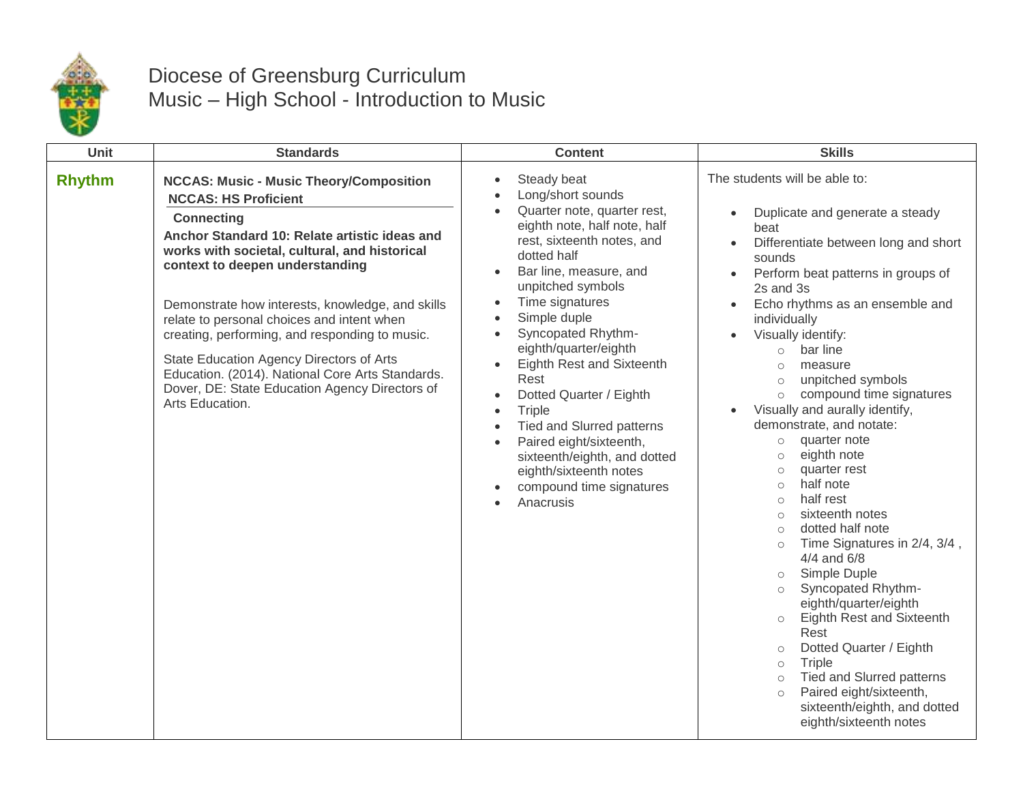

## Diocese of Greensburg Curriculum Music – High School - Introduction to Music

| Unit          | <b>Standards</b>                                                                                                                                                                                                                                                                                                                                                                                                                                                                                                                                                 | <b>Content</b>                                                                                                                                                                                                                                                                                                                                                                                                                                                                                                                                            | <b>Skills</b>                                                                                                                                                                                                                                                                                                                                                                                                                                                                                                                                                                                                                                                                                                                                                                                                                                                                                                                                                                                                                                                                                      |
|---------------|------------------------------------------------------------------------------------------------------------------------------------------------------------------------------------------------------------------------------------------------------------------------------------------------------------------------------------------------------------------------------------------------------------------------------------------------------------------------------------------------------------------------------------------------------------------|-----------------------------------------------------------------------------------------------------------------------------------------------------------------------------------------------------------------------------------------------------------------------------------------------------------------------------------------------------------------------------------------------------------------------------------------------------------------------------------------------------------------------------------------------------------|----------------------------------------------------------------------------------------------------------------------------------------------------------------------------------------------------------------------------------------------------------------------------------------------------------------------------------------------------------------------------------------------------------------------------------------------------------------------------------------------------------------------------------------------------------------------------------------------------------------------------------------------------------------------------------------------------------------------------------------------------------------------------------------------------------------------------------------------------------------------------------------------------------------------------------------------------------------------------------------------------------------------------------------------------------------------------------------------------|
| <b>Rhythm</b> | <b>NCCAS: Music - Music Theory/Composition</b><br><b>NCCAS: HS Proficient</b><br><b>Connecting</b><br>Anchor Standard 10: Relate artistic ideas and<br>works with societal, cultural, and historical<br>context to deepen understanding<br>Demonstrate how interests, knowledge, and skills<br>relate to personal choices and intent when<br>creating, performing, and responding to music.<br>State Education Agency Directors of Arts<br>Education. (2014). National Core Arts Standards.<br>Dover, DE: State Education Agency Directors of<br>Arts Education. | Steady beat<br>Long/short sounds<br>Quarter note, quarter rest,<br>eighth note, half note, half<br>rest, sixteenth notes, and<br>dotted half<br>Bar line, measure, and<br>unpitched symbols<br>Time signatures<br>Simple duple<br>Syncopated Rhythm-<br>$\bullet$<br>eighth/quarter/eighth<br>Eighth Rest and Sixteenth<br>Rest<br>Dotted Quarter / Eighth<br>Triple<br>$\bullet$<br>Tied and Slurred patterns<br>Paired eight/sixteenth,<br>$\bullet$<br>sixteenth/eighth, and dotted<br>eighth/sixteenth notes<br>compound time signatures<br>Anacrusis | The students will be able to:<br>Duplicate and generate a steady<br>$\bullet$<br>beat<br>Differentiate between long and short<br>$\bullet$<br>sounds<br>Perform beat patterns in groups of<br>$\bullet$<br>2s and 3s<br>Echo rhythms as an ensemble and<br>$\bullet$<br>individually<br>Visually identify:<br>bar line<br>$\circ$<br>measure<br>$\circ$<br>unpitched symbols<br>$\circ$<br>compound time signatures<br>$\circ$<br>Visually and aurally identify,<br>demonstrate, and notate:<br>quarter note<br>$\circ$<br>eighth note<br>$\circ$<br>quarter rest<br>$\circ$<br>half note<br>$\circ$<br>half rest<br>$\circ$<br>sixteenth notes<br>$\circ$<br>dotted half note<br>$\circ$<br>Time Signatures in 2/4, 3/4,<br>$\circ$<br>4/4 and 6/8<br>Simple Duple<br>$\circ$<br>Syncopated Rhythm-<br>$\circ$<br>eighth/quarter/eighth<br>Eighth Rest and Sixteenth<br>$\circ$<br>Rest<br>Dotted Quarter / Eighth<br>$\circ$<br>Triple<br>$\circ$<br><b>Tied and Slurred patterns</b><br>$\circ$<br>Paired eight/sixteenth,<br>$\circ$<br>sixteenth/eighth, and dotted<br>eighth/sixteenth notes |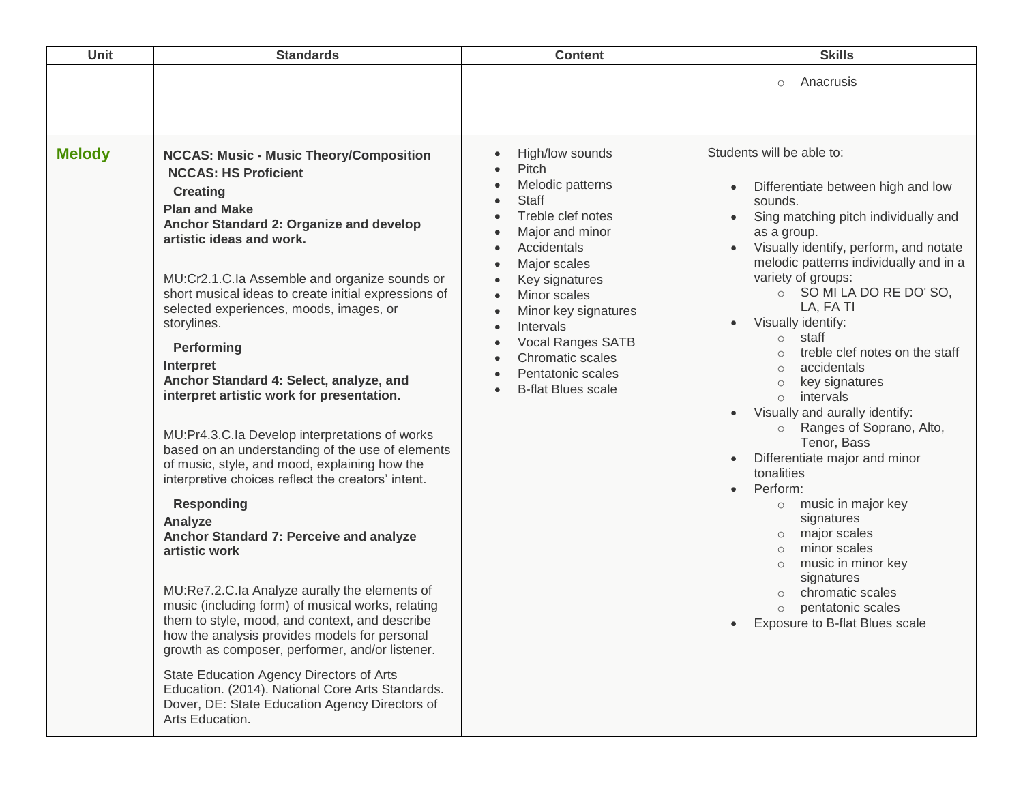| <b>Unit</b>   | <b>Standards</b>                                                                                                                                                                                                                                                                                                                                                                                                                                                                                                                                                                                                                                                                                                                                                                                                                                                                                                                                                                                                                                                                                                                                                                                                                | <b>Content</b>                                                                                                                                                                                                                                                                                                                                                                                                                                       | <b>Skills</b>                                                                                                                                                                                                                                                                                                                                                                                                                                                                                                                                                                                                                                                                                                                                                                                                                                                                                            |
|---------------|---------------------------------------------------------------------------------------------------------------------------------------------------------------------------------------------------------------------------------------------------------------------------------------------------------------------------------------------------------------------------------------------------------------------------------------------------------------------------------------------------------------------------------------------------------------------------------------------------------------------------------------------------------------------------------------------------------------------------------------------------------------------------------------------------------------------------------------------------------------------------------------------------------------------------------------------------------------------------------------------------------------------------------------------------------------------------------------------------------------------------------------------------------------------------------------------------------------------------------|------------------------------------------------------------------------------------------------------------------------------------------------------------------------------------------------------------------------------------------------------------------------------------------------------------------------------------------------------------------------------------------------------------------------------------------------------|----------------------------------------------------------------------------------------------------------------------------------------------------------------------------------------------------------------------------------------------------------------------------------------------------------------------------------------------------------------------------------------------------------------------------------------------------------------------------------------------------------------------------------------------------------------------------------------------------------------------------------------------------------------------------------------------------------------------------------------------------------------------------------------------------------------------------------------------------------------------------------------------------------|
|               |                                                                                                                                                                                                                                                                                                                                                                                                                                                                                                                                                                                                                                                                                                                                                                                                                                                                                                                                                                                                                                                                                                                                                                                                                                 |                                                                                                                                                                                                                                                                                                                                                                                                                                                      | Anacrusis<br>$\circ$                                                                                                                                                                                                                                                                                                                                                                                                                                                                                                                                                                                                                                                                                                                                                                                                                                                                                     |
| <b>Melody</b> | <b>NCCAS: Music - Music Theory/Composition</b><br><b>NCCAS: HS Proficient</b><br><b>Creating</b><br><b>Plan and Make</b><br>Anchor Standard 2: Organize and develop<br>artistic ideas and work.<br>MU:Cr2.1.C.la Assemble and organize sounds or<br>short musical ideas to create initial expressions of<br>selected experiences, moods, images, or<br>storylines.<br>Performing<br>Interpret<br>Anchor Standard 4: Select, analyze, and<br>interpret artistic work for presentation.<br>MU:Pr4.3.C.la Develop interpretations of works<br>based on an understanding of the use of elements<br>of music, style, and mood, explaining how the<br>interpretive choices reflect the creators' intent.<br><b>Responding</b><br>Analyze<br>Anchor Standard 7: Perceive and analyze<br>artistic work<br>MU:Re7.2.C.la Analyze aurally the elements of<br>music (including form) of musical works, relating<br>them to style, mood, and context, and describe<br>how the analysis provides models for personal<br>growth as composer, performer, and/or listener.<br>State Education Agency Directors of Arts<br>Education. (2014). National Core Arts Standards.<br>Dover, DE: State Education Agency Directors of<br>Arts Education. | High/low sounds<br>$\bullet$<br>Pitch<br>$\bullet$<br>Melodic patterns<br>$\bullet$<br><b>Staff</b><br>Treble clef notes<br>Major and minor<br>Accidentals<br>Major scales<br>$\bullet$<br>Key signatures<br>Minor scales<br>$\bullet$<br>Minor key signatures<br>$\bullet$<br>Intervals<br>$\bullet$<br>Vocal Ranges SATB<br>$\bullet$<br>Chromatic scales<br>$\bullet$<br>Pentatonic scales<br>$\bullet$<br><b>B-flat Blues scale</b><br>$\bullet$ | Students will be able to:<br>Differentiate between high and low<br>sounds.<br>Sing matching pitch individually and<br>as a group.<br>Visually identify, perform, and notate<br>melodic patterns individually and in a<br>variety of groups:<br>O SO MI LA DO RE DO'SO,<br>LA, FA TI<br>Visually identify:<br>$\bullet$<br>staff<br>$\circ$<br>treble clef notes on the staff<br>$\circ$<br>accidentals<br>$\circ$<br>key signatures<br>$\circ$<br>intervals<br>$\circ$<br>Visually and aurally identify:<br>$\bullet$<br>Ranges of Soprano, Alto,<br>$\circ$<br>Tenor, Bass<br>Differentiate major and minor<br>$\bullet$<br>tonalities<br>Perform:<br>music in major key<br>$\circ$<br>signatures<br>major scales<br>$\circ$<br>minor scales<br>$\circ$<br>music in minor key<br>$\circ$<br>signatures<br>chromatic scales<br>$\circ$<br>pentatonic scales<br>$\circ$<br>Exposure to B-flat Blues scale |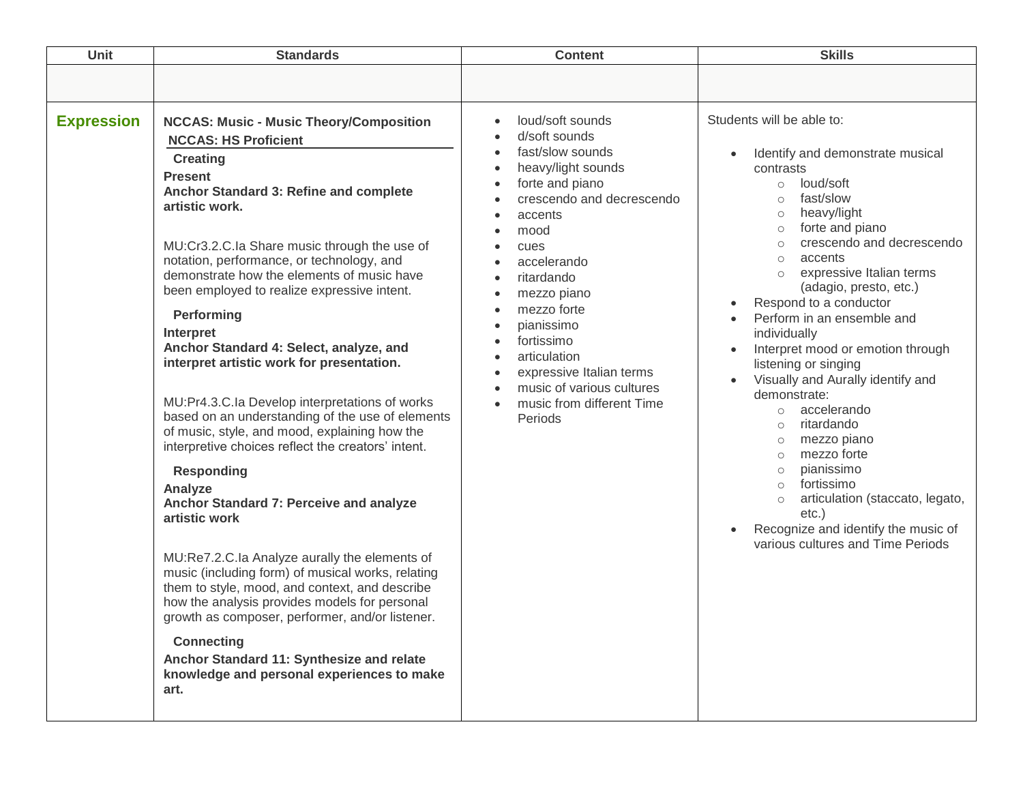| Unit              | <b>Standards</b>                                                                                                                                                                                                                                                                                                                                                                                                                                                                                                                                                                                                                                                                                                                                                                                                                                                                                                                                                                                                                                                                                                                                                                         | <b>Content</b>                                                                                                                                                                                                                                                                                                                                                 | <b>Skills</b>                                                                                                                                                                                                                                                                                                                                                                                                                                                                                                                                                                                                                                                                                                                                                                                                                                                  |
|-------------------|------------------------------------------------------------------------------------------------------------------------------------------------------------------------------------------------------------------------------------------------------------------------------------------------------------------------------------------------------------------------------------------------------------------------------------------------------------------------------------------------------------------------------------------------------------------------------------------------------------------------------------------------------------------------------------------------------------------------------------------------------------------------------------------------------------------------------------------------------------------------------------------------------------------------------------------------------------------------------------------------------------------------------------------------------------------------------------------------------------------------------------------------------------------------------------------|----------------------------------------------------------------------------------------------------------------------------------------------------------------------------------------------------------------------------------------------------------------------------------------------------------------------------------------------------------------|----------------------------------------------------------------------------------------------------------------------------------------------------------------------------------------------------------------------------------------------------------------------------------------------------------------------------------------------------------------------------------------------------------------------------------------------------------------------------------------------------------------------------------------------------------------------------------------------------------------------------------------------------------------------------------------------------------------------------------------------------------------------------------------------------------------------------------------------------------------|
|                   |                                                                                                                                                                                                                                                                                                                                                                                                                                                                                                                                                                                                                                                                                                                                                                                                                                                                                                                                                                                                                                                                                                                                                                                          |                                                                                                                                                                                                                                                                                                                                                                |                                                                                                                                                                                                                                                                                                                                                                                                                                                                                                                                                                                                                                                                                                                                                                                                                                                                |
| <b>Expression</b> | <b>NCCAS: Music - Music Theory/Composition</b><br><b>NCCAS: HS Proficient</b><br><b>Creating</b><br><b>Present</b><br>Anchor Standard 3: Refine and complete<br>artistic work.<br>MU:Cr3.2.C.Ia Share music through the use of<br>notation, performance, or technology, and<br>demonstrate how the elements of music have<br>been employed to realize expressive intent.<br>Performing<br>Interpret<br>Anchor Standard 4: Select, analyze, and<br>interpret artistic work for presentation.<br>MU:Pr4.3.C.la Develop interpretations of works<br>based on an understanding of the use of elements<br>of music, style, and mood, explaining how the<br>interpretive choices reflect the creators' intent.<br><b>Responding</b><br>Analyze<br>Anchor Standard 7: Perceive and analyze<br>artistic work<br>MU:Re7.2.C.la Analyze aurally the elements of<br>music (including form) of musical works, relating<br>them to style, mood, and context, and describe<br>how the analysis provides models for personal<br>growth as composer, performer, and/or listener.<br><b>Connecting</b><br>Anchor Standard 11: Synthesize and relate<br>knowledge and personal experiences to make<br>art. | loud/soft sounds<br>d/soft sounds<br>fast/slow sounds<br>heavy/light sounds<br>forte and piano<br>crescendo and decrescendo<br>accents<br>mood<br>cues<br>accelerando<br>ritardando<br>mezzo piano<br>mezzo forte<br>pianissimo<br>fortissimo<br>articulation<br>expressive Italian terms<br>music of various cultures<br>music from different Time<br>Periods | Students will be able to:<br>Identify and demonstrate musical<br>$\bullet$<br>contrasts<br>loud/soft<br>$\circ$<br>fast/slow<br>$\circ$<br>heavy/light<br>$\circ$<br>forte and piano<br>$\circ$<br>crescendo and decrescendo<br>$\circ$<br>accents<br>$\circ$<br>expressive Italian terms<br>$\circ$<br>(adagio, presto, etc.)<br>Respond to a conductor<br>$\bullet$<br>Perform in an ensemble and<br>individually<br>Interpret mood or emotion through<br>$\bullet$<br>listening or singing<br>Visually and Aurally identify and<br>demonstrate:<br>accelerando<br>$\circ$<br>ritardando<br>$\circ$<br>mezzo piano<br>$\circ$<br>mezzo forte<br>$\circ$<br>pianissimo<br>$\circ$<br>fortissimo<br>$\circ$<br>articulation (staccato, legato,<br>$\circ$<br>$etc.$ )<br>Recognize and identify the music of<br>$\bullet$<br>various cultures and Time Periods |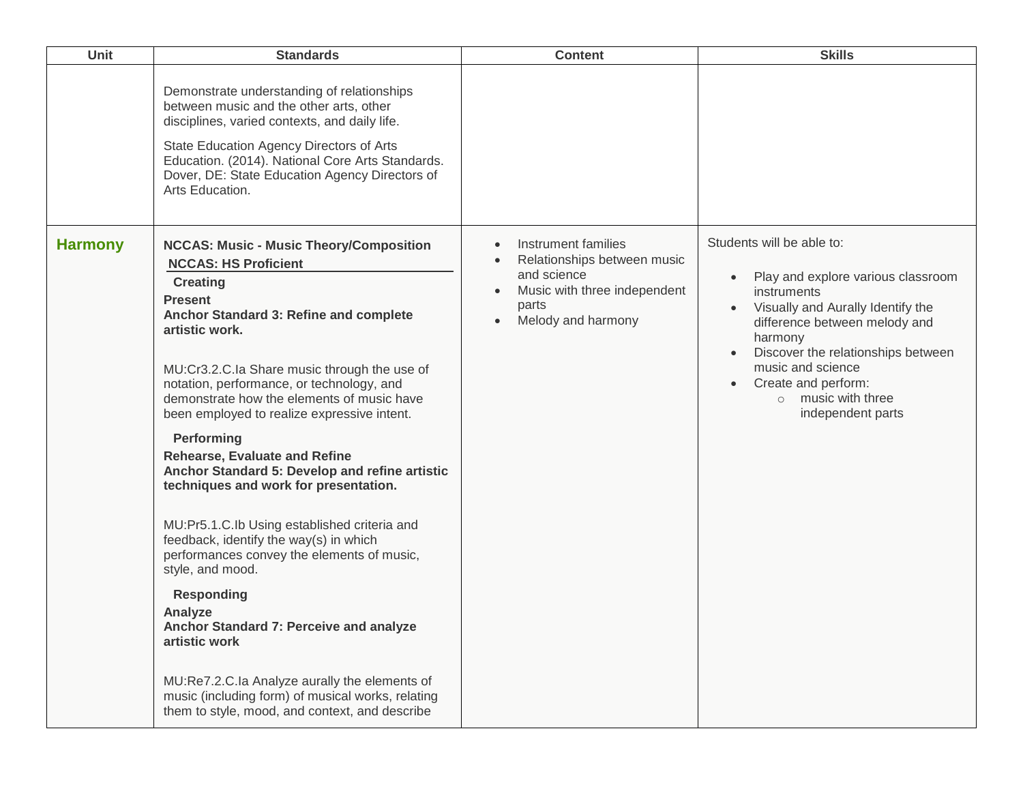| Unit           | <b>Standards</b>                                                                                                                                                                                                                                                                                                                                                                                                                                                                                                                                                                                                                                                                                                                                                                                                                                                                                                                          | <b>Content</b>                                                                                                                                | <b>Skills</b>                                                                                                                                                                                                                                                                                                   |
|----------------|-------------------------------------------------------------------------------------------------------------------------------------------------------------------------------------------------------------------------------------------------------------------------------------------------------------------------------------------------------------------------------------------------------------------------------------------------------------------------------------------------------------------------------------------------------------------------------------------------------------------------------------------------------------------------------------------------------------------------------------------------------------------------------------------------------------------------------------------------------------------------------------------------------------------------------------------|-----------------------------------------------------------------------------------------------------------------------------------------------|-----------------------------------------------------------------------------------------------------------------------------------------------------------------------------------------------------------------------------------------------------------------------------------------------------------------|
|                | Demonstrate understanding of relationships<br>between music and the other arts, other<br>disciplines, varied contexts, and daily life.<br>State Education Agency Directors of Arts<br>Education. (2014). National Core Arts Standards.<br>Dover, DE: State Education Agency Directors of<br>Arts Education.                                                                                                                                                                                                                                                                                                                                                                                                                                                                                                                                                                                                                               |                                                                                                                                               |                                                                                                                                                                                                                                                                                                                 |
| <b>Harmony</b> | <b>NCCAS: Music - Music Theory/Composition</b><br><b>NCCAS: HS Proficient</b><br><b>Creating</b><br><b>Present</b><br>Anchor Standard 3: Refine and complete<br>artistic work.<br>MU:Cr3.2.C.Ia Share music through the use of<br>notation, performance, or technology, and<br>demonstrate how the elements of music have<br>been employed to realize expressive intent.<br>Performing<br><b>Rehearse, Evaluate and Refine</b><br>Anchor Standard 5: Develop and refine artistic<br>techniques and work for presentation.<br>MU:Pr5.1.C.Ib Using established criteria and<br>feedback, identify the way(s) in which<br>performances convey the elements of music,<br>style, and mood.<br><b>Responding</b><br>Analyze<br>Anchor Standard 7: Perceive and analyze<br>artistic work<br>MU:Re7.2.C.la Analyze aurally the elements of<br>music (including form) of musical works, relating<br>them to style, mood, and context, and describe | Instrument families<br>Relationships between music<br>and science<br>Music with three independent<br>parts<br>Melody and harmony<br>$\bullet$ | Students will be able to:<br>Play and explore various classroom<br>instruments<br>Visually and Aurally Identify the<br>difference between melody and<br>harmony<br>Discover the relationships between<br>music and science<br>Create and perform:<br>$\bullet$<br>$\circ$ music with three<br>independent parts |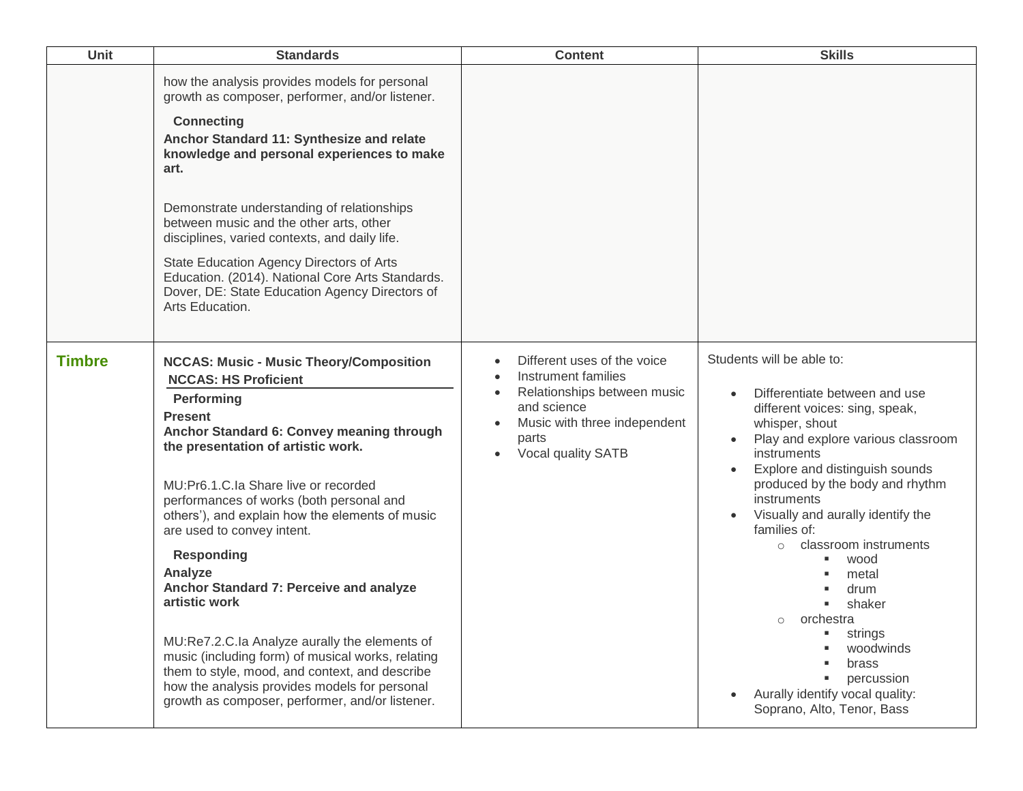| Unit          | <b>Standards</b>                                                                                                                                                                                                                                                                                                                                                                                                                                                                                                                                                                                                                                                                                                              | <b>Content</b>                                                                                                                                                                            | <b>Skills</b>                                                                                                                                                                                                                                                                                                                                                                                                                                                                                                                                         |
|---------------|-------------------------------------------------------------------------------------------------------------------------------------------------------------------------------------------------------------------------------------------------------------------------------------------------------------------------------------------------------------------------------------------------------------------------------------------------------------------------------------------------------------------------------------------------------------------------------------------------------------------------------------------------------------------------------------------------------------------------------|-------------------------------------------------------------------------------------------------------------------------------------------------------------------------------------------|-------------------------------------------------------------------------------------------------------------------------------------------------------------------------------------------------------------------------------------------------------------------------------------------------------------------------------------------------------------------------------------------------------------------------------------------------------------------------------------------------------------------------------------------------------|
|               | how the analysis provides models for personal<br>growth as composer, performer, and/or listener.<br><b>Connecting</b><br>Anchor Standard 11: Synthesize and relate<br>knowledge and personal experiences to make<br>art.<br>Demonstrate understanding of relationships<br>between music and the other arts, other<br>disciplines, varied contexts, and daily life.<br>State Education Agency Directors of Arts<br>Education. (2014). National Core Arts Standards.<br>Dover, DE: State Education Agency Directors of<br>Arts Education.                                                                                                                                                                                       |                                                                                                                                                                                           |                                                                                                                                                                                                                                                                                                                                                                                                                                                                                                                                                       |
| <b>Timbre</b> | <b>NCCAS: Music - Music Theory/Composition</b><br><b>NCCAS: HS Proficient</b><br>Performing<br><b>Present</b><br>Anchor Standard 6: Convey meaning through<br>the presentation of artistic work.<br>MU:Pr6.1.C.la Share live or recorded<br>performances of works (both personal and<br>others'), and explain how the elements of music<br>are used to convey intent.<br><b>Responding</b><br>Analyze<br>Anchor Standard 7: Perceive and analyze<br>artistic work<br>MU:Re7.2.C.la Analyze aurally the elements of<br>music (including form) of musical works, relating<br>them to style, mood, and context, and describe<br>how the analysis provides models for personal<br>growth as composer, performer, and/or listener. | Different uses of the voice<br>$\bullet$<br>Instrument families<br>Relationships between music<br>$\bullet$<br>and science<br>Music with three independent<br>parts<br>Vocal quality SATB | Students will be able to:<br>Differentiate between and use<br>different voices: sing, speak,<br>whisper, shout<br>Play and explore various classroom<br>instruments<br>Explore and distinguish sounds<br>produced by the body and rhythm<br>instruments<br>Visually and aurally identify the<br>$\bullet$<br>families of:<br>classroom instruments<br>$\circ$<br>wood<br>metal<br>drum<br>shaker<br>orchestra<br>$\circ$<br>strings<br>woodwinds<br>brass<br>percussion<br>Aurally identify vocal quality:<br>$\bullet$<br>Soprano, Alto, Tenor, Bass |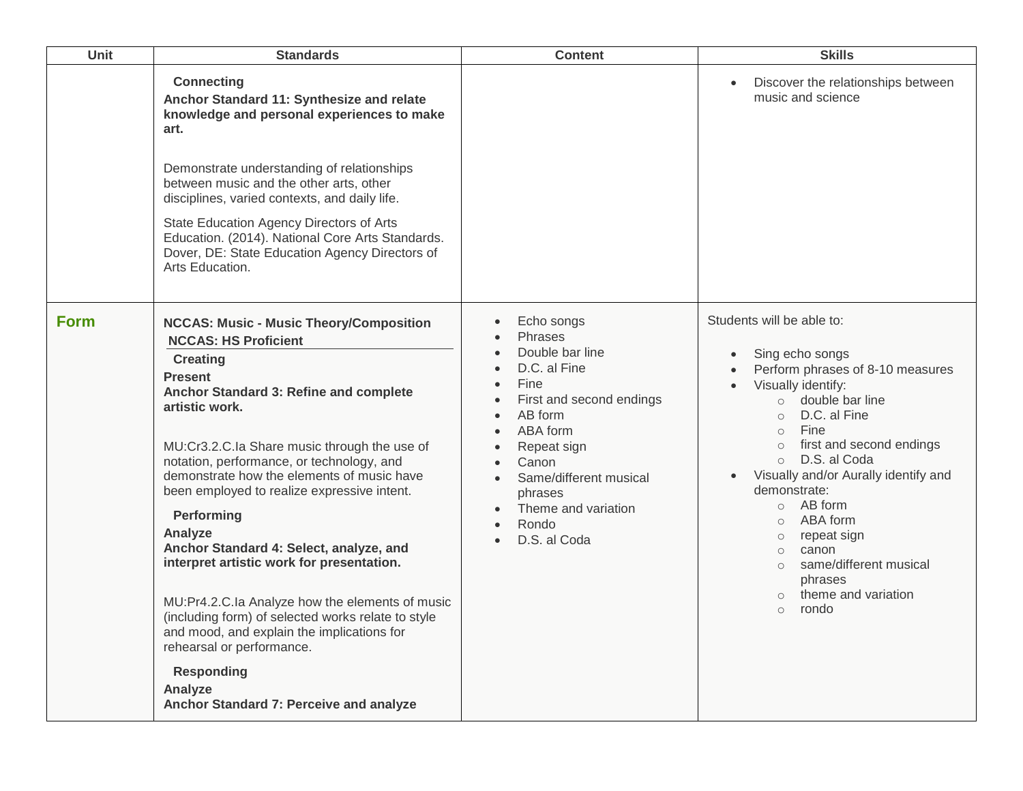| Unit        | <b>Standards</b>                                                                                                                                                                                                                                                                                                                                                                                                                                                                                                                                                                                                                                                                                                                                         | <b>Content</b>                                                                                                                                                                                                                                                                                                                                                                                                         | <b>Skills</b>                                                                                                                                                                                                                                                                                                                                                                                                                                                                                                          |
|-------------|----------------------------------------------------------------------------------------------------------------------------------------------------------------------------------------------------------------------------------------------------------------------------------------------------------------------------------------------------------------------------------------------------------------------------------------------------------------------------------------------------------------------------------------------------------------------------------------------------------------------------------------------------------------------------------------------------------------------------------------------------------|------------------------------------------------------------------------------------------------------------------------------------------------------------------------------------------------------------------------------------------------------------------------------------------------------------------------------------------------------------------------------------------------------------------------|------------------------------------------------------------------------------------------------------------------------------------------------------------------------------------------------------------------------------------------------------------------------------------------------------------------------------------------------------------------------------------------------------------------------------------------------------------------------------------------------------------------------|
|             | <b>Connecting</b><br>Anchor Standard 11: Synthesize and relate<br>knowledge and personal experiences to make<br>art.<br>Demonstrate understanding of relationships<br>between music and the other arts, other<br>disciplines, varied contexts, and daily life.<br>State Education Agency Directors of Arts<br>Education. (2014). National Core Arts Standards.<br>Dover, DE: State Education Agency Directors of<br>Arts Education.                                                                                                                                                                                                                                                                                                                      |                                                                                                                                                                                                                                                                                                                                                                                                                        | Discover the relationships between<br>$\bullet$<br>music and science                                                                                                                                                                                                                                                                                                                                                                                                                                                   |
| <b>Form</b> | <b>NCCAS: Music - Music Theory/Composition</b><br><b>NCCAS: HS Proficient</b><br><b>Creating</b><br><b>Present</b><br>Anchor Standard 3: Refine and complete<br>artistic work.<br>MU:Cr3.2.C.Ia Share music through the use of<br>notation, performance, or technology, and<br>demonstrate how the elements of music have<br>been employed to realize expressive intent.<br>Performing<br>Analyze<br>Anchor Standard 4: Select, analyze, and<br>interpret artistic work for presentation.<br>MU:Pr4.2.C.Ia Analyze how the elements of music<br>(including form) of selected works relate to style<br>and mood, and explain the implications for<br>rehearsal or performance.<br><b>Responding</b><br>Analyze<br>Anchor Standard 7: Perceive and analyze | Echo songs<br>$\bullet$<br>Phrases<br>$\bullet$<br>Double bar line<br>$\bullet$<br>D.C. al Fine<br>$\bullet$<br>Fine<br>$\bullet$<br>First and second endings<br>$\bullet$<br>AB form<br>$\bullet$<br>ABA form<br>$\bullet$<br>Repeat sign<br>$\bullet$<br>Canon<br>$\bullet$<br>Same/different musical<br>$\bullet$<br>phrases<br>Theme and variation<br>$\bullet$<br>Rondo<br>$\bullet$<br>D.S. al Coda<br>$\bullet$ | Students will be able to:<br>Sing echo songs<br>$\bullet$<br>Perform phrases of 8-10 measures<br>$\bullet$<br>Visually identify:<br>$\circ$ double bar line<br>D.C. al Fine<br>$\circ$<br>Fine<br>$\circ$<br>first and second endings<br>$\circ$<br>D.S. al Coda<br>$\circ$<br>Visually and/or Aurally identify and<br>demonstrate:<br>$\circ$ AB form<br>ABA form<br>$\circ$<br>repeat sign<br>$\circ$<br>canon<br>$\circ$<br>same/different musical<br>$\circ$<br>phrases<br>theme and variation<br>rondo<br>$\circ$ |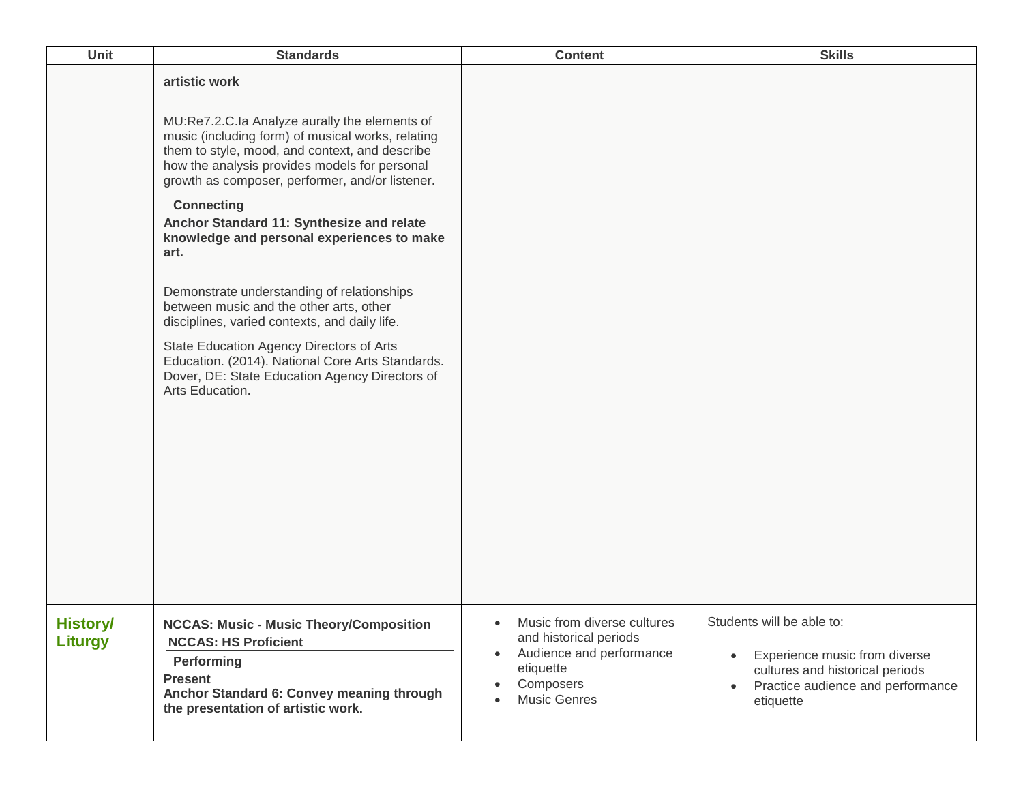| Unit                       | <b>Standards</b>                                                                                                                                                                                                                                                                                                                                                                                                                                                                                                                                                                                                                                                                                                 | <b>Content</b>                                                                                                                                  | <b>Skills</b>                                                                                                                                   |
|----------------------------|------------------------------------------------------------------------------------------------------------------------------------------------------------------------------------------------------------------------------------------------------------------------------------------------------------------------------------------------------------------------------------------------------------------------------------------------------------------------------------------------------------------------------------------------------------------------------------------------------------------------------------------------------------------------------------------------------------------|-------------------------------------------------------------------------------------------------------------------------------------------------|-------------------------------------------------------------------------------------------------------------------------------------------------|
|                            | artistic work<br>MU:Re7.2.C.la Analyze aurally the elements of<br>music (including form) of musical works, relating<br>them to style, mood, and context, and describe<br>how the analysis provides models for personal<br>growth as composer, performer, and/or listener.<br><b>Connecting</b><br>Anchor Standard 11: Synthesize and relate<br>knowledge and personal experiences to make<br>art.<br>Demonstrate understanding of relationships<br>between music and the other arts, other<br>disciplines, varied contexts, and daily life.<br>State Education Agency Directors of Arts<br>Education. (2014). National Core Arts Standards.<br>Dover, DE: State Education Agency Directors of<br>Arts Education. |                                                                                                                                                 |                                                                                                                                                 |
| <b>History/</b><br>Liturgy | <b>NCCAS: Music - Music Theory/Composition</b><br><b>NCCAS: HS Proficient</b><br>Performing<br><b>Present</b><br>Anchor Standard 6: Convey meaning through<br>the presentation of artistic work.                                                                                                                                                                                                                                                                                                                                                                                                                                                                                                                 | Music from diverse cultures<br>and historical periods<br>Audience and performance<br>$\bullet$<br>etiquette<br>Composers<br><b>Music Genres</b> | Students will be able to:<br>Experience music from diverse<br>cultures and historical periods<br>Practice audience and performance<br>etiquette |